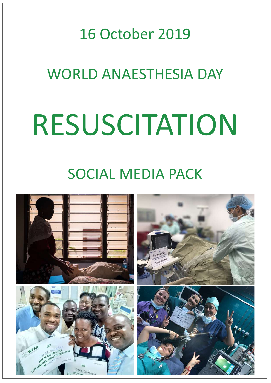#### 16 October 2019

### WORLD ANAESTHESIA DAY

# RESUSCITATION

### SOCIAL MEDIA PACK

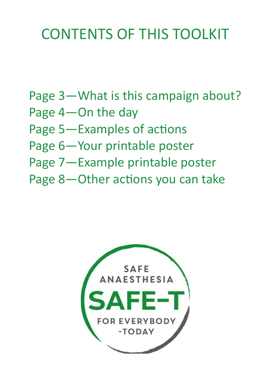### CONTENTS OF THIS TOOLKIT

- Page 3—What is this campaign about?
- Page 4—On the day
- Page 5—Examples of actions
- Page 6—Your printable poster
- Page 7—Example printable poster
- Page 8—Other actions you can take

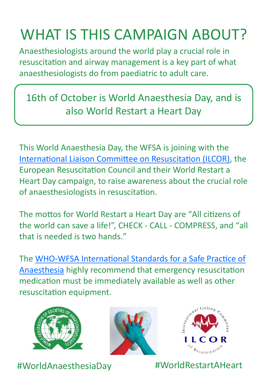### WHAT IS THIS CAMPAIGN ABOUT?

Anaesthesiologists around the world play a crucial role in resuscitation and airway management is a key part of what anaesthesiologists do from paediatric to adult care.

16th of October is World Anaesthesia Day, and is also World Restart a Heart Day

This World Anaesthesia Day, the WFSA is joining with the [International Liaison Committee on Resuscitation \(ILCOR\),](https://www.ilcor.org/home/) the European Resuscitation Council and their World Restart a Heart Day campaign, to raise awareness about the crucial role of anaesthesiologists in resuscitation.

The mottos for World Restart a Heart Day are "All citizens of the world can save a life!", CHECK - CALL - COMPRESS, and "all that is needed is two hands."

The WHO-[WFSA International Standards for a Safe Practice of](https://link.springer.com/epdf/10.1007/s12630-018-1111-5?shared_access_token=KVc7bNLPtgjsi6WPf3zid_e4RwlQNchNByi7wbcMAY7ppz5smjzBY6ja3vtSxHkfSCnG7VYzgVCqbBDDIZT5gsNjmLM8DqPuD8-rXeMGx9ebRBCDiiXkZez5najiDPGr_oMEIJe2os54Bv_bxg5Sk-J20ydZ5L3ItSNUsdr4t68%3D)  [Anaesthesia](https://link.springer.com/epdf/10.1007/s12630-018-1111-5?shared_access_token=KVc7bNLPtgjsi6WPf3zid_e4RwlQNchNByi7wbcMAY7ppz5smjzBY6ja3vtSxHkfSCnG7VYzgVCqbBDDIZT5gsNjmLM8DqPuD8-rXeMGx9ebRBCDiiXkZez5najiDPGr_oMEIJe2os54Bv_bxg5Sk-J20ydZ5L3ItSNUsdr4t68%3D) highly recommend that emergency resuscitation medication must be immediately available as well as other resuscitation equipment.







#WorldAnaesthesiaDay #WorldRestartAHeart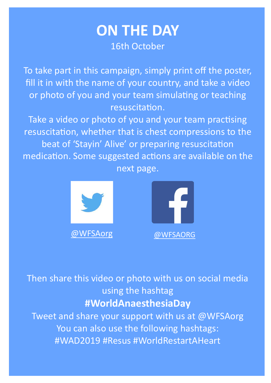#### **ON THE DAY** 16th October

To take part in this campaign, simply print off the poster, fill it in with the name of your country, and take a video or photo of you and your team simulating or teaching resuscitation.

Take a video or photo of you and your team practising resuscitation, whether that is chest compressions to the beat of 'Stayin' Alive' or preparing resuscitation medication. Some suggested actions are available on the next page.





Then share this video or photo with us on social media using the hashtag **#WorldAnaesthesiaDay**

Tweet and share your support with us at @WFSAorg You can also use the following hashtags: #WAD2019 #Resus #WorldRestartAHeart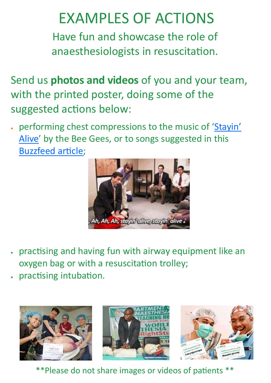### EXAMPLES OF ACTIONS

Have fun and showcase the role of anaesthesiologists in resuscitation.

Send us **photos and videos** of you and your team, with the printed poster, doing some of the suggested actions below:

 performing chest compressions to the music of ['Stayin'](https://youtu.be/I_izvAbhExY?t=42)  [Alive'](https://youtu.be/I_izvAbhExY?t=42) by the Bee Gees, or to songs suggested in this [Buzzfeed article;](https://www.buzzfeednews.com/article/carolinekee/hospital-playlist-best-songs-to-perform-cpr) 



- practising and having fun with airway equipment like an oxygen bag or with a resuscitation trolley;
- practising intubation.



\*\*Please do not share images or videos of patients \*\*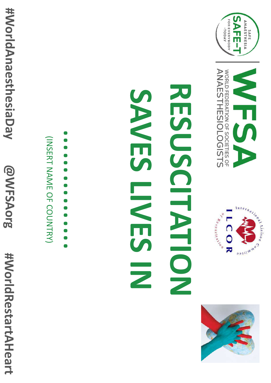







# RESORTESS NESHVESING





#WorldAnaesthesiaDay **@WFSAorg** #WorldRestartAHeart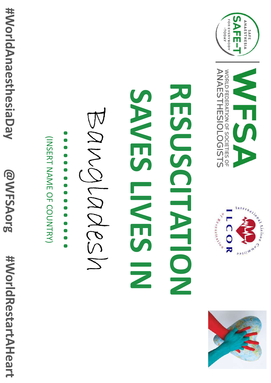







# RESORTHENTIC **SANESHARS**

BANCICASEN

(INSERT NAME OF COUNTRY)

#WorldAnaesthesiaDay

@WFSAorg

#WorldRestartAHeart





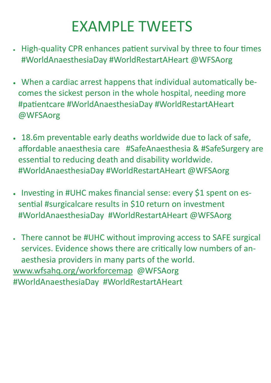### EXAMPLE TWEETS

- High-quality CPR enhances patient survival by three to four times #WorldAnaesthesiaDay #WorldRestartAHeart @WFSAorg
- When a cardiac arrest happens that individual automatically becomes the sickest person in the whole hospital, needing more #patientcare #WorldAnaesthesiaDay #WorldRestartAHeart @WFSAorg
- 18.6m preventable early deaths worldwide due to lack of safe, affordable anaesthesia care #SafeAnaesthesia & #SafeSurgery are essential to reducing death and disability worldwide. #WorldAnaesthesiaDay #WorldRestartAHeart @WFSAorg
- Investing in #UHC makes financial sense: every \$1 spent on essential #surgicalcare results in \$10 return on investment #WorldAnaesthesiaDay #WorldRestartAHeart @WFSAorg
- There cannot be #UHC without improving access to SAFE surgical services. Evidence shows there are critically low numbers of anaesthesia providers in many parts of the world. [www.wfsahq.org/workforcemap](https://www.wfsahq.org/workforce-map) @WFSAorg #WorldAnaesthesiaDay #WorldRestartAHeart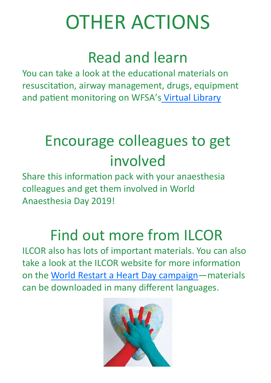### OTHER ACTIONS

### Read and learn

You can take a look at the educational materials on resuscitation, airway management, drugs, equipment and patient monitoring on WFSA's [Virtual Library](https://www.wfsahq.org/component/mijosearch/search?query=resuscitation)

### Encourage colleagues to get involved

Share this information pack with your anaesthesia colleagues and get them involved in World Anaesthesia Day 2019!

### Find out more from ILCOR

ILCOR also has lots of important materials. You can also take a look at the ILCOR website for more information on the [World Restart a Heart Day campaign—m](https://www.ilcor.org/world-restart-a-heart-2019/)aterials can be downloaded in many different languages.